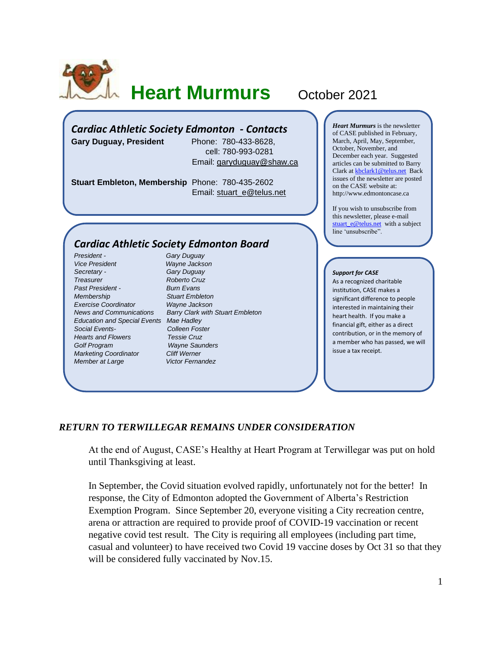

# **Heart Murmurs** October 2021

### *Cardiac Athletic Society Edmonton - Contacts*

**Gary Duguay, President** Phone: 780-433-8628,

 cell: 780-993-0281 Email: [garyduguay@shaw.ca](mailto:garyduguay@shaw.ca)

**Stuart Embleton, Membership** Phone: 780-435-2602 Email: [stuart\\_e@telus.net](mailto:stuart_e@telus.net)

#### *Cardiac Athletic Society Edmonton Board*

*President - Gary Duguay Vice President Wayne Jackson Secretary - Gary Duguay Treasurer Roberto Cruz Past President - Burn Evans Membership Stuart Embleton Exercise Coordinator Wayne Jackson Education and Special Events Mae Hadley Social Events- Colleen Foster Hearts and Flowers Golf Program Wayne Saunders Marketing Coordinator Cliff Werner Member at Large* **Victor Fernandez** 

*News and Communications Barry Clark with Stuart Embleton*

*Heart Murmurs* is the newsletter of CASE published in February, March, April, May, September, October, November, and December each year. Suggested articles can be submitted to Barry Clark a[t kbclark1@telus.net](mailto:kbclark1@telus.net) Back issues of the newsletter are posted on the CASE website at: [http://www.edmontoncase.ca](http://www.edmontoncase.ca/)

If you wish to unsubscribe from this newsletter, please e-mail [stuart\\_e@telus.net](mailto:stuart_e@telus.net) with a subject line 'unsubscribe".

#### *Support for CASE*

As a recognized charitable institution, CASE makes a significant difference to people interested in maintaining their heart health. If you make a financial gift, either as a direct contribution, or in the memory of a member who has passed, we will issue a tax receipt.

#### *RETURN TO TERWILLEGAR REMAINS UNDER CONSIDERATION*

At the end of August, CASE's Healthy at Heart Program at Terwillegar was put on hold until Thanksgiving at least.

In September, the Covid situation evolved rapidly, unfortunately not for the better! In response, the City of Edmonton adopted the Government of Alberta's Restriction Exemption Program. Since September 20, everyone visiting a City recreation centre, arena or attraction are required to provide proof of COVID-19 vaccination or recent negative covid test result. The City is requiring all employees (including part time, casual and volunteer) to have received two Covid 19 vaccine doses by Oct 31 so that they will be considered fully vaccinated by Nov.15.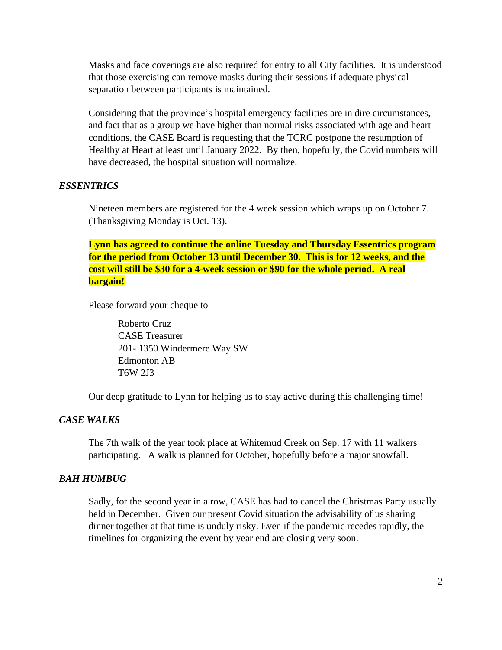Masks and face coverings are also required for entry to all City facilities. It is understood that those exercising can remove masks during their sessions if adequate physical separation between participants is maintained.

Considering that the province's hospital emergency facilities are in dire circumstances, and fact that as a group we have higher than normal risks associated with age and heart conditions, the CASE Board is requesting that the TCRC postpone the resumption of Healthy at Heart at least until January 2022. By then, hopefully, the Covid numbers will have decreased, the hospital situation will normalize.

#### *ESSENTRICS*

Nineteen members are registered for the 4 week session which wraps up on October 7. (Thanksgiving Monday is Oct. 13).

**Lynn has agreed to continue the online Tuesday and Thursday Essentrics program for the period from October 13 until December 30. This is for 12 weeks, and the cost will still be \$30 for a 4-week session or \$90 for the whole period. A real bargain!** 

Please forward your cheque to

Roberto Cruz CASE Treasurer 201- 1350 Windermere Way SW Edmonton AB T6W 2J3

Our deep gratitude to Lynn for helping us to stay active during this challenging time!

## *CASE WALKS*

The 7th walk of the year took place at Whitemud Creek on Sep. 17 with 11 walkers participating. A walk is planned for October, hopefully before a major snowfall.

#### *BAH HUMBUG*

Sadly, for the second year in a row, CASE has had to cancel the Christmas Party usually held in December. Given our present Covid situation the advisability of us sharing dinner together at that time is unduly risky. Even if the pandemic recedes rapidly, the timelines for organizing the event by year end are closing very soon.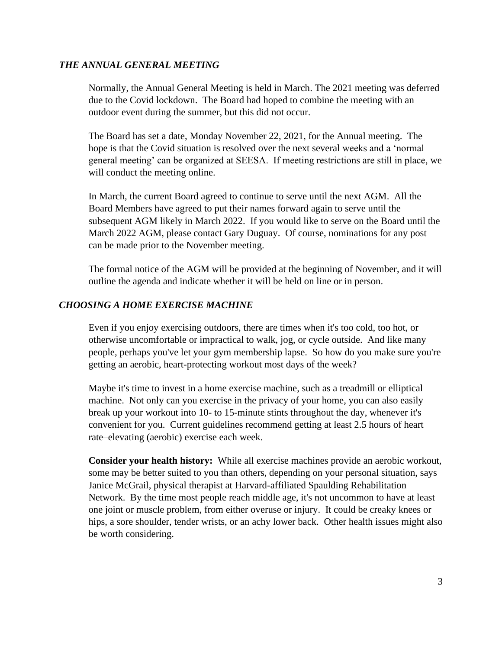#### *THE ANNUAL GENERAL MEETING*

Normally, the Annual General Meeting is held in March. The 2021 meeting was deferred due to the Covid lockdown. The Board had hoped to combine the meeting with an outdoor event during the summer, but this did not occur.

The Board has set a date, Monday November 22, 2021, for the Annual meeting. The hope is that the Covid situation is resolved over the next several weeks and a 'normal general meeting' can be organized at SEESA. If meeting restrictions are still in place, we will conduct the meeting online.

In March, the current Board agreed to continue to serve until the next AGM. All the Board Members have agreed to put their names forward again to serve until the subsequent AGM likely in March 2022. If you would like to serve on the Board until the March 2022 AGM, please contact Gary Duguay. Of course, nominations for any post can be made prior to the November meeting.

The formal notice of the AGM will be provided at the beginning of November, and it will outline the agenda and indicate whether it will be held on line or in person.

#### *CHOOSING A HOME EXERCISE MACHINE*

Even if you enjoy exercising outdoors, there are times when it's too cold, too hot, or otherwise uncomfortable or impractical to walk, jog, or cycle outside. And like many people, perhaps you've let your gym membership lapse. So how do you make sure you're getting an aerobic, heart-protecting workout most days of the week?

Maybe it's time to invest in a home exercise machine, such as a treadmill or elliptical machine. Not only can you exercise in the privacy of your home, you can also easily break up your workout into 10- to 15-minute stints throughout the day, whenever it's convenient for you. Current guidelines recommend getting at least 2.5 hours of heart rate–elevating (aerobic) exercise each week.

**Consider your health history:** While all exercise machines provide an aerobic workout, some may be better suited to you than others, depending on your personal situation, says Janice McGrail, physical therapist at Harvard-affiliated Spaulding Rehabilitation Network. By the time most people reach middle age, it's not uncommon to have at least one joint or muscle problem, from either overuse or injury. It could be creaky knees or hips, a sore shoulder, tender wrists, or an achy lower back. Other health issues might also be worth considering.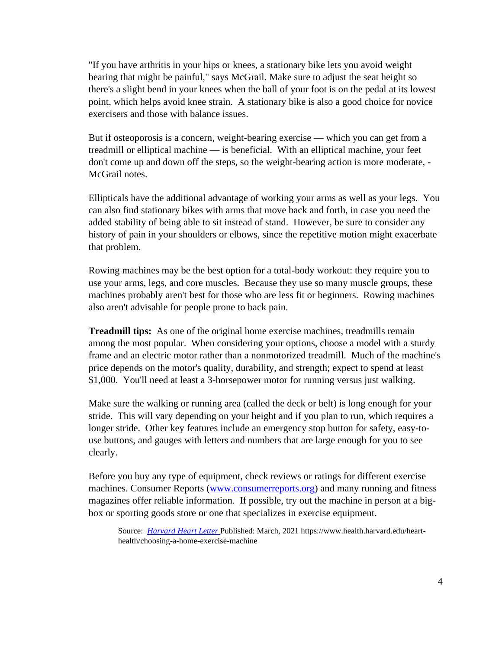"If you have arthritis in your hips or knees, a stationary bike lets you avoid weight bearing that might be painful," says McGrail. Make sure to adjust the seat height so there's a slight bend in your knees when the ball of your foot is on the pedal at its lowest point, which helps avoid knee strain. A stationary bike is also a good choice for novice exercisers and those with balance issues.

But if osteoporosis is a concern, weight-bearing exercise — which you can get from a treadmill or elliptical machine — is beneficial. With an elliptical machine, your feet don't come up and down off the steps, so the weight-bearing action is more moderate, - McGrail notes.

Ellipticals have the additional advantage of working your arms as well as your legs. You can also find stationary bikes with arms that move back and forth, in case you need the added stability of being able to sit instead of stand. However, be sure to consider any history of pain in your shoulders or elbows, since the repetitive motion might exacerbate that problem.

Rowing machines may be the best option for a total-body workout: they require you to use your arms, legs, and core muscles. Because they use so many muscle groups, these machines probably aren't best for those who are less fit or beginners. Rowing machines also aren't advisable for people prone to back pain.

**Treadmill tips:** As one of the original home exercise machines, treadmills remain among the most popular. When considering your options, choose a model with a sturdy frame and an electric motor rather than a nonmotorized treadmill. Much of the machine's price depends on the motor's quality, durability, and strength; expect to spend at least \$1,000. You'll need at least a 3-horsepower motor for running versus just walking.

Make sure the walking or running area (called the deck or belt) is long enough for your stride. This will vary depending on your height and if you plan to run, which requires a longer stride. Other key features include an emergency stop button for safety, easy-touse buttons, and gauges with letters and numbers that are large enough for you to see clearly.

Before you buy any type of equipment, check reviews or ratings for different exercise machines. Consumer Reports [\(www.consumerreports.org\)](https://www.consumerreports.org/) and many running and fitness magazines offer reliable information. If possible, try out the machine in person at a bigbox or sporting goods store or one that specializes in exercise equipment.

Source: *[Harvard Heart Letter](https://www.health.harvard.edu/newsletters/harvard_heart_letter/2021/march)* Published: March, 2021 https://www.health.harvard.edu/hearthealth/choosing-a-home-exercise-machine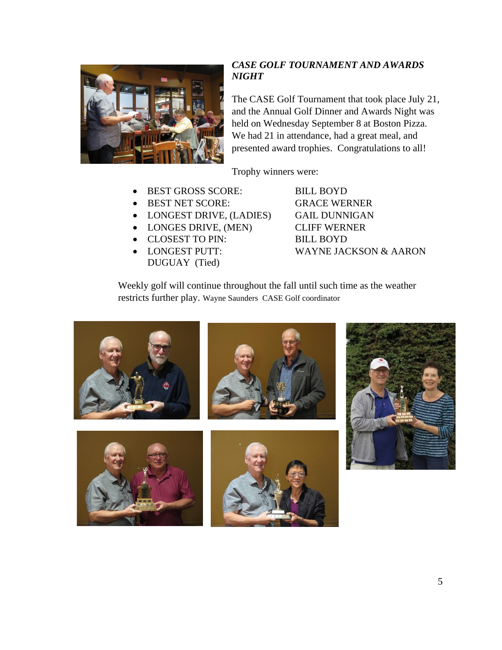

## *CASE GOLF TOURNAMENT AND AWARDS NIGHT*

The CASE Golf Tournament that took place July 21, and the Annual Golf Dinner and Awards Night was held on Wednesday September 8 at Boston Pizza. We had 21 in attendance, had a great meal, and presented award trophies. Congratulations to all!

Trophy winners were:

- BEST GROSS SCORE: BILL BOYD
- BEST NET SCORE: GRACE WERNER
- LONGEST DRIVE, (LADIES) GAIL DUNNIGAN
- LONGES DRIVE, (MEN) CLIFF WERNER
- CLOSEST TO PIN: BILL BOYD
- DUGUAY (Tied)

• LONGEST PUTT: WAYNE JACKSON & AARON

Weekly golf will continue throughout the fall until such time as the weather restricts further play. Wayne Saunders CASE Golf coordinator